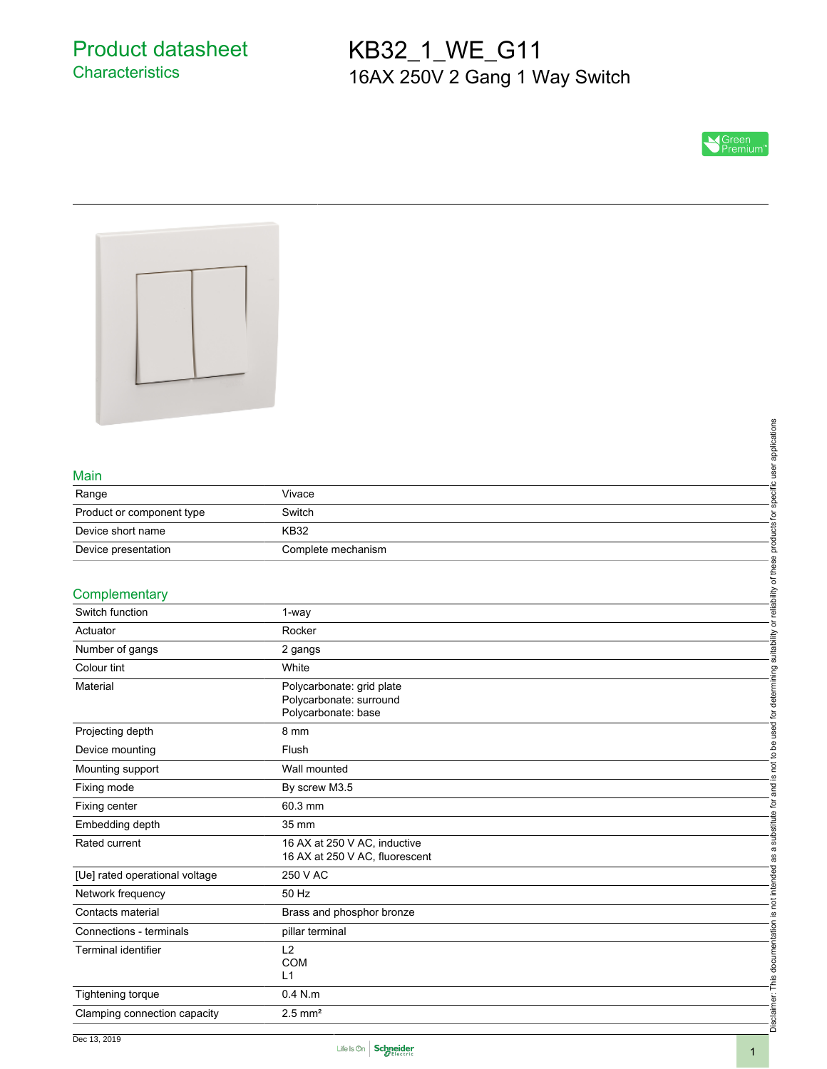# KB32\_1\_WE\_G11 16AX 250V 2 Gang 1 Way Switch





### Main

|                           |                    | ဖ<br>pplication |
|---------------------------|--------------------|-----------------|
| Main                      |                    |                 |
| Range                     | Vivace             |                 |
| Product or component type | Switch             |                 |
| Device short name         | <b>KB32</b>        |                 |
| Device presentation       | Complete mechanism |                 |
| Complementary             |                    | bility          |
| Switch function           | 1-way              | eiie            |

## **Complementary**

| Vivace                       |                                                                                                                                                                                         |
|------------------------------|-----------------------------------------------------------------------------------------------------------------------------------------------------------------------------------------|
| Switch                       |                                                                                                                                                                                         |
| <b>KB32</b>                  |                                                                                                                                                                                         |
| Complete mechanism           |                                                                                                                                                                                         |
|                              |                                                                                                                                                                                         |
|                              | not to be used for determining suitability or reliability of these products for specific user applications                                                                              |
| 1-way                        |                                                                                                                                                                                         |
| Rocker                       |                                                                                                                                                                                         |
| 2 gangs                      |                                                                                                                                                                                         |
| White                        |                                                                                                                                                                                         |
| Polycarbonate: grid plate    |                                                                                                                                                                                         |
|                              |                                                                                                                                                                                         |
|                              |                                                                                                                                                                                         |
|                              |                                                                                                                                                                                         |
|                              |                                                                                                                                                                                         |
|                              | <u>ی</u>                                                                                                                                                                                |
| By screw M3.5                |                                                                                                                                                                                         |
| 60.3 mm                      |                                                                                                                                                                                         |
| 35 mm                        |                                                                                                                                                                                         |
| 16 AX at 250 V AC, inductive | as a substitute for and                                                                                                                                                                 |
|                              |                                                                                                                                                                                         |
|                              |                                                                                                                                                                                         |
| 50 Hz                        |                                                                                                                                                                                         |
| Brass and phosphor bronze    |                                                                                                                                                                                         |
| pillar terminal              |                                                                                                                                                                                         |
| L2                           |                                                                                                                                                                                         |
|                              |                                                                                                                                                                                         |
|                              |                                                                                                                                                                                         |
|                              |                                                                                                                                                                                         |
|                              | Disclaimer: This documentation is not intended                                                                                                                                          |
|                              | Polycarbonate: surround<br>Polycarbonate: base<br>8 mm<br>Flush<br>Wall mounted<br>16 AX at 250 V AC, fluorescent<br>250 V AC<br><b>COM</b><br>L1<br>$0.4$ N.m<br>$2.5$ mm <sup>2</sup> |



Disc